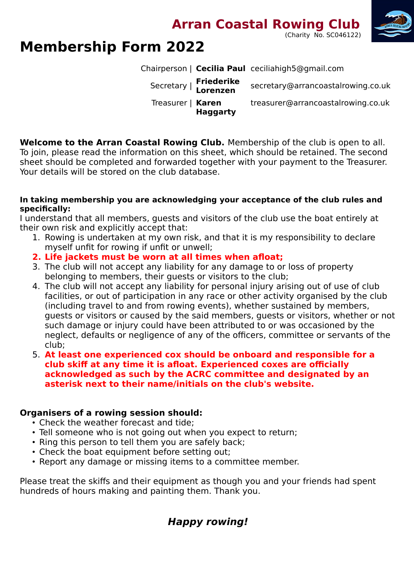**Arran Coastal Rowing Club** 





# **Membership Form 2022**

Chairperson | **Cecilia Paul** ceciliahigh5@gmail.com

| Secretary   Friederike<br>Lorenzen   | secretary@arrancoastalrowing.co.uk |
|--------------------------------------|------------------------------------|
| Treasurer   Karen<br><b>Haggarty</b> | treasurer@arrancoastalrowing.co.uk |

**Welcome to the Arran Coastal Rowing Club.** Membership of the club is open to all. To join, please read the information on this sheet, which should be retained. The second sheet should be completed and forwarded together with your payment to the Treasurer. Your details will be stored on the club database.

#### **In taking membership you are acknowledging your acceptance of the club rules and specifically:**

I understand that all members, guests and visitors of the club use the boat entirely at their own risk and explicitly accept that:

- 1. Rowing is undertaken at my own risk, and that it is my responsibility to declare myself unfit for rowing if unfit or unwell;
- **2. Life jackets must be worn at all times when afloat;**
- 3. The club will not accept any liability for any damage to or loss of property belonging to members, their guests or visitors to the club;
- 4. The club will not accept any liability for personal injury arising out of use of club facilities, or out of participation in any race or other activity organised by the club (including travel to and from rowing events), whether sustained by members, guests or visitors or caused by the said members, guests or visitors, whether or not such damage or injury could have been attributed to or was occasioned by the neglect, defaults or negligence of any of the officers, committee or servants of the club;
- 5. **At least one experienced cox should be onboard and responsible for a club skiff at any time it is afloat. Experienced coxes are officially acknowledged as such by the ACRC committee and designated by an asterisk next to their name/initials on the club's website.**

### **Organisers of a rowing session should:**

- Check the weather forecast and tide;
- Tell someone who is not going out when you expect to return;
- Ring this person to tell them you are safely back;
- Check the boat equipment before setting out;
- Report any damage or missing items to a committee member.

Please treat the skiffs and their equipment as though you and your friends had spent hundreds of hours making and painting them. Thank you.

# **Happy rowing!**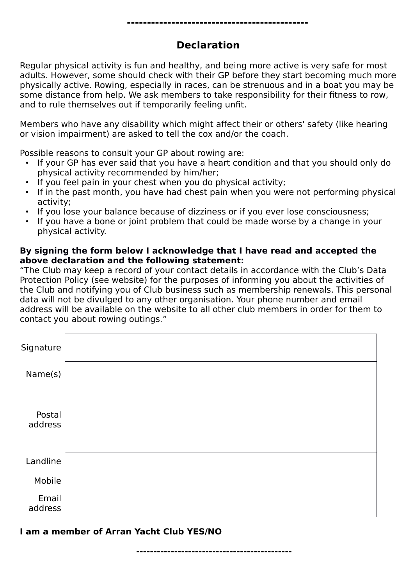## **Declaration**

Regular physical activity is fun and healthy, and being more active is very safe for most adults. However, some should check with their GP before they start becoming much more physically active. Rowing, especially in races, can be strenuous and in a boat you may be some distance from help. We ask members to take responsibility for their fitness to row, and to rule themselves out if temporarily feeling unfit.

Members who have any disability which might affect their or others' safety (like hearing or vision impairment) are asked to tell the cox and/or the coach.

Possible reasons to consult your GP about rowing are:

- If your GP has ever said that you have a heart condition and that you should only do physical activity recommended by him/her;
- If you feel pain in your chest when you do physical activity;
- If in the past month, you have had chest pain when you were not performing physical activity;
- If you lose your balance because of dizziness or if you ever lose consciousness;
- If you have a bone or joint problem that could be made worse by a change in your physical activity.

#### **By signing the form below I acknowledge that I have read and accepted the above declaration and the following statement:**

"The Club may keep a record of your contact details in accordance with the Club's Data Protection Policy (see website) for the purposes of informing you about the activities of the Club and notifying you of Club business such as membership renewals. This personal data will not be divulged to any other organisation. Your phone number and email address will be available on the website to all other club members in order for them to contact you about rowing outings."

| Signature         |  |
|-------------------|--|
| Name(s)           |  |
| Postal<br>address |  |
| Landline          |  |
| Mobile            |  |
| Email<br>address  |  |

**I am a member of Arran Yacht Club YES/NO**

**---------------------------------------------**